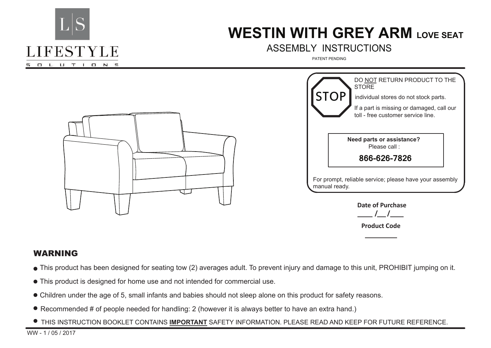

## **WESTIN WITH GREY ARM LOVE SEAT**

## ASSEMBLY INSTRUCTIONS

PATENT PENDING









## WARNING

- This product has been designed for seating tow (2) averages adult. To prevent injury and damage to this unit, PROHIBIT jumping on it.
- This product is designed for home use and not intended for commercial use.
- Children under the age of 5, small infants and babies should not sleep alone on this product for safety reasons.
- Recommended # of people needed for handling: 2 (however it is always better to have an extra hand.)
- THIS INSTRUCTION BOOKLET CONTAINS **IMPORTANT** SAFETY INFORMATION. PLEASE READ AND KEEP FOR FUTURE REFERENCE.

WW - 1 / 05 / 2017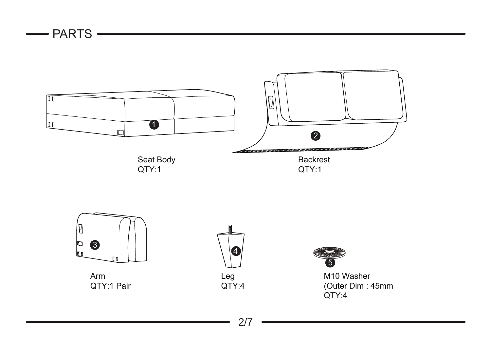- PARTS



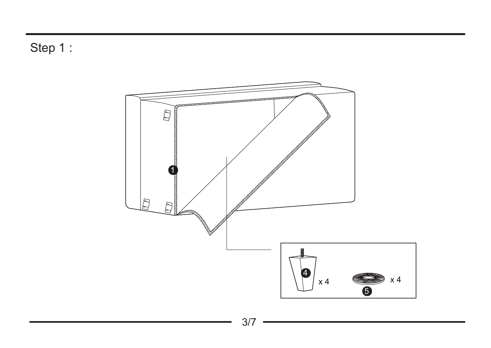Step 1 :

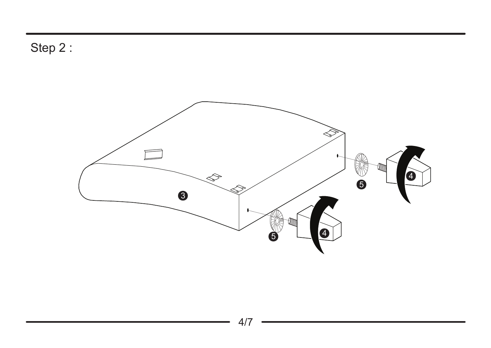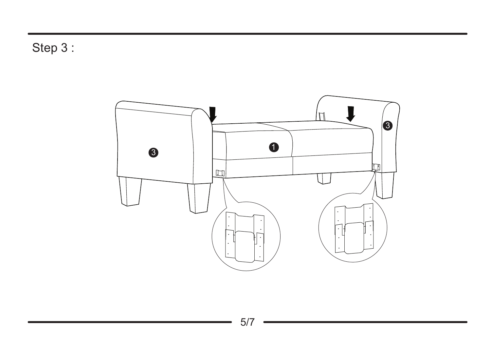Step 3 :

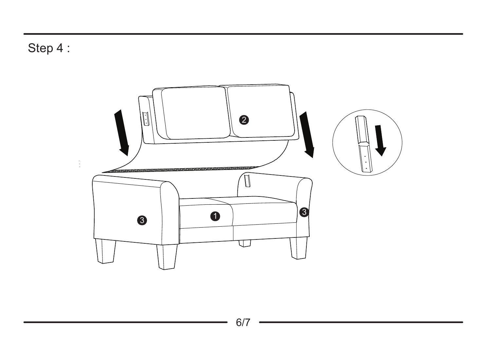Step 4 :